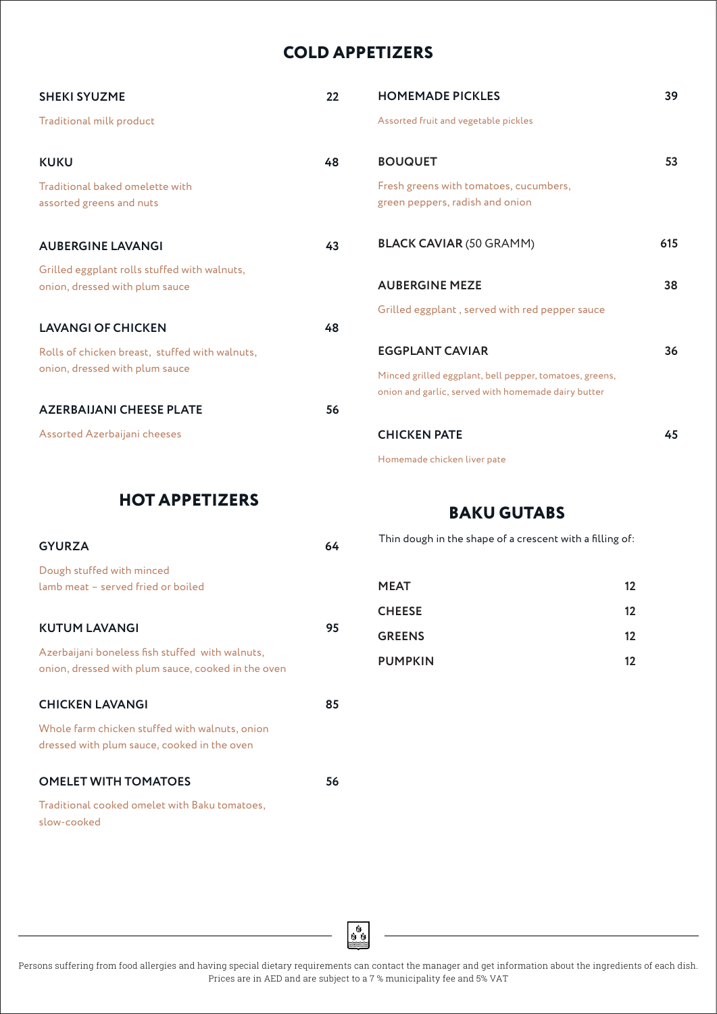# **COLD APPETIZERS**

| <b>SHEKI SYUZME</b>                                                            | 22 | <b>HOMEMADE PICKLES</b>                                                   | 39  |
|--------------------------------------------------------------------------------|----|---------------------------------------------------------------------------|-----|
| Traditional milk product                                                       |    | Assorted fruit and vegetable pickles                                      |     |
| <b>KUKU</b>                                                                    | 48 | <b>BOUQUET</b>                                                            | 53  |
| Traditional baked omelette with<br>assorted greens and nuts                    |    | Fresh greens with tomatoes, cucumbers,<br>green peppers, radish and onion |     |
| <b>AUBERGINE LAVANGI</b>                                                       | 43 | <b>BLACK CAVIAR (50 GRAMM)</b>                                            | 615 |
| Grilled eggplant rolls stuffed with walnuts,<br>onion, dressed with plum sauce |    | <b>AUBERGINE MEZE</b>                                                     | 38  |
|                                                                                |    | Grilled eggplant, served with red pepper sauce                            |     |
| <b>LAVANGI OF CHICKEN</b>                                                      | 48 |                                                                           |     |
| Rolls of chicken breast, stuffed with walnuts,                                 |    | <b>EGGPLANT CAVIAR</b>                                                    | 36  |
| onion, dressed with plum sauce                                                 |    | Minced grilled eggplant, bell pepper, tomatoes, greens,                   |     |
|                                                                                |    | onion and garlic, served with homemade dairy butter                       |     |
| <b>AZERBAIJANI CHEESE PLATE</b>                                                | 56 |                                                                           |     |
| Assorted Azerbaijani cheeses                                                   |    | <b>CHICKEN PATE</b>                                                       | 45  |
|                                                                                |    | Homemade chicken liver pate                                               |     |

#### **HOT APPETIZERS**

## **BAKU GUTABS**

| <b>GYURZA</b>                                                                                         |    |
|-------------------------------------------------------------------------------------------------------|----|
| Dough stuffed with minced<br>lamb meat - served fried or boiled                                       |    |
| <b>KUTUM LAVANGI</b>                                                                                  | 95 |
| Azerbaijani boneless fish stuffed with walnuts,<br>onion, dressed with plum sauce, cooked in the oven |    |
| <b>CHICKEN LAVANGI</b>                                                                                | 85 |
| Whole farm chicken stuffed with walnuts, onion<br>dressed with plum sauce, cooked in the oven         |    |
| <b>OMELET WITH TOMATOES</b>                                                                           | 56 |
| Traditional cooked omelet with Baku tomatoes,<br>slow-cooked                                          |    |

| Thin dough in the shape of a crescent with a filling of: |    |
|----------------------------------------------------------|----|
| <b>MEAT</b>                                              | 12 |
| <b>CHEESE</b>                                            | 12 |
| <b>GREENS</b>                                            | 12 |
| <b>PUMPKIN</b>                                           | 12 |

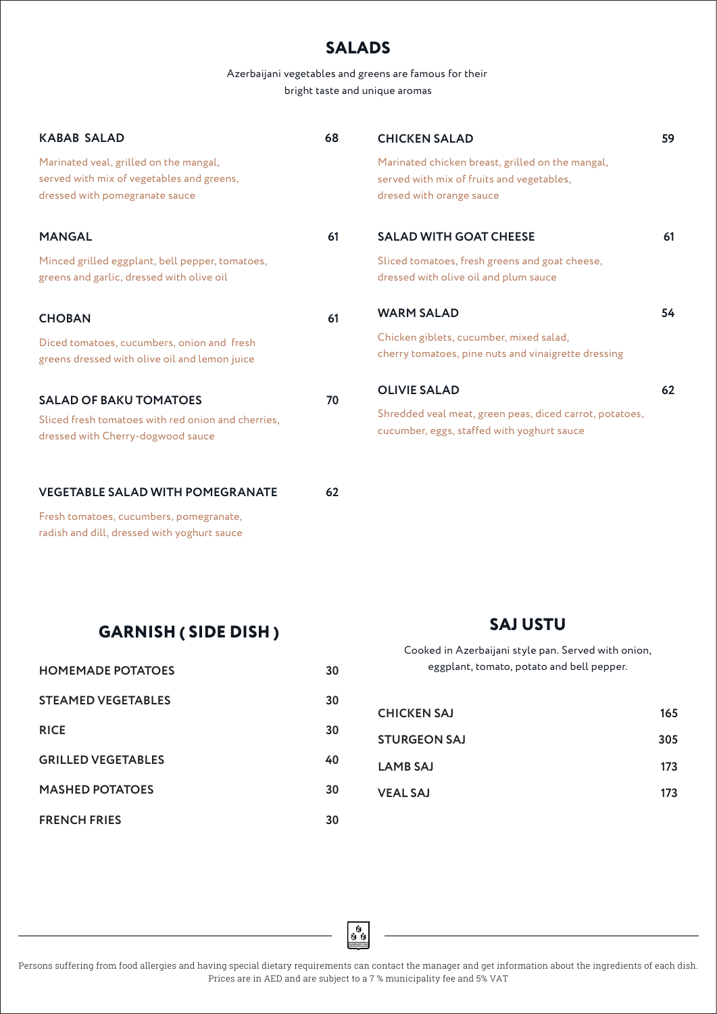# **SALADS**

Azerbaijani vegetables and greens are famous for their bright taste and unique aromas

| <b>KABAB SALAD</b>                                                                                                    | 68 | <b>CHICKEN SALAD</b>                                                                                                      | 59 |
|-----------------------------------------------------------------------------------------------------------------------|----|---------------------------------------------------------------------------------------------------------------------------|----|
| Marinated veal, grilled on the mangal,<br>served with mix of vegetables and greens,<br>dressed with pomegranate sauce |    | Marinated chicken breast, grilled on the mangal,<br>served with mix of fruits and vegetables,<br>dresed with orange sauce |    |
| <b>MANGAL</b>                                                                                                         | 61 | <b>SALAD WITH GOAT CHEESE</b>                                                                                             | 61 |
| Minced grilled eggplant, bell pepper, tomatoes,<br>greens and garlic, dressed with olive oil                          |    | Sliced tomatoes, fresh greens and goat cheese,<br>dressed with olive oil and plum sauce                                   |    |
| <b>CHOBAN</b>                                                                                                         | 61 | <b>WARM SALAD</b>                                                                                                         | 54 |
| Diced tomatoes, cucumbers, onion and fresh<br>greens dressed with olive oil and lemon juice                           |    | Chicken giblets, cucumber, mixed salad,<br>cherry tomatoes, pine nuts and vinaigrette dressing                            |    |
| <b>SALAD OF BAKU TOMATOES</b>                                                                                         | 70 | <b>OLIVIE SALAD</b>                                                                                                       | 62 |
| Sliced fresh tomatoes with red onion and cherries,<br>dressed with Cherry-dogwood sauce                               |    | Shredded veal meat, green peas, diced carrot, potatoes,<br>cucumber, eggs, staffed with yoghurt sauce                     |    |
| <b>VEGETABLE SALAD WITH POMEGRANATE</b>                                                                               | 62 |                                                                                                                           |    |
| Fresh tomatoes, cucumbers, pomegranate,<br>radish and dill, dressed with yoghurt sauce                                |    |                                                                                                                           |    |

**GARNISH ( SIDE DISH )**

| <b>HOMEMADE POTATOES</b>  | 30 |
|---------------------------|----|
| <b>STEAMED VEGETABLES</b> | 30 |
| <b>RICE</b>               | 30 |
| <b>GRILLED VEGETABLES</b> | 40 |
| <b>MASHED POTATOES</b>    | 30 |
| <b>FRENCH FRIES</b>       | 30 |

**SAJ USTU**

Cooked in Azerbaijani style pan. Served with onion, eggplant, tomato, potato and bell pepper.

| 165 |
|-----|
| 305 |
| 173 |
| 173 |
|     |

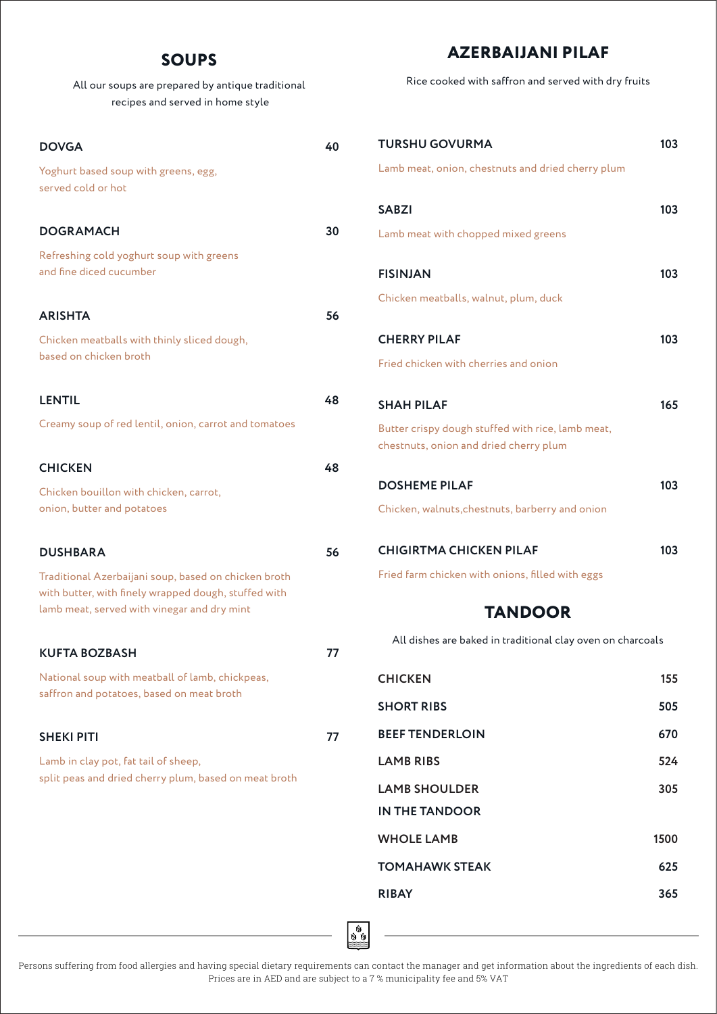### **SOUPS**

All our soups are prepared by antique traditional recipes and served in home style

| <b>DOVGA</b>                                                                                                                                                | 40 |
|-------------------------------------------------------------------------------------------------------------------------------------------------------------|----|
| Yoghurt based soup with greens, egg,<br>served cold or hot                                                                                                  |    |
| <b>DOGRAMACH</b>                                                                                                                                            | 30 |
| Refreshing cold yoghurt soup with greens<br>and fine diced cucumber                                                                                         |    |
| <b>ARISHTA</b>                                                                                                                                              | 56 |
| Chicken meatballs with thinly sliced dough,<br>based on chicken broth                                                                                       |    |
| <b>LENTIL</b>                                                                                                                                               | 48 |
| Creamy soup of red lentil, onion, carrot and tomatoes                                                                                                       |    |
| <b>CHICKEN</b>                                                                                                                                              | 48 |
| Chicken bouillon with chicken, carrot,<br>onion, butter and potatoes                                                                                        |    |
| <b>DUSHBARA</b>                                                                                                                                             | 56 |
| Traditional Azerbaijani soup, based on chicken broth<br>with butter, with finely wrapped dough, stuffed with<br>lamb meat, served with vinegar and dry mint |    |
| <b>KUFTA BOZBASH</b>                                                                                                                                        | 77 |
| National soup with meatball of lamb, chickpeas,<br>saffron and potatoes, based on meat broth                                                                |    |
| <b>SHEKI PITI</b>                                                                                                                                           | 77 |
| Lamb in clay pot, fat tail of sheep,<br>split peas and dried cherry plum, based on meat broth                                                               |    |

## **AZERBAIJANI PILAF**

Rice cooked with saffron and served with dry fruits

| <b>TURSHU GOVURMA</b>                                                                       | 103  |
|---------------------------------------------------------------------------------------------|------|
| Lamb meat, onion, chestnuts and dried cherry plum                                           |      |
| <b>SARZI</b>                                                                                | 103  |
| Lamb meat with chopped mixed greens                                                         |      |
| <b>FISINJAN</b>                                                                             | 103  |
| Chicken meatballs, walnut, plum, duck                                                       |      |
| <b>CHERRY PILAF</b>                                                                         | 103  |
| Fried chicken with cherries and onion                                                       |      |
| <b>SHAH PILAF</b>                                                                           | 165  |
| Butter crispy dough stuffed with rice, lamb meat,<br>chestnuts, onion and dried cherry plum |      |
| <b>DOSHEME PILAF</b>                                                                        | 103  |
| Chicken, walnuts, chestnuts, barberry and onion                                             |      |
| <b>CHIGIRTMA CHICKEN PILAF</b>                                                              | 103  |
| Fried farm chicken with onions, filled with eggs                                            |      |
| <b>TANDOOR</b>                                                                              |      |
| All dishes are baked in traditional clay oven on charcoals                                  |      |
| <b>CHICKEN</b>                                                                              | 155  |
| <b>SHORT RIBS</b>                                                                           | 505  |
| <b>BEEF TENDERLOIN</b>                                                                      | 670  |
| <b>LAMB RIBS</b>                                                                            | 524  |
| <b>LAMB SHOULDER</b><br><b>IN THE TANDOOR</b>                                               | 305  |
| <b>WHOLE LAMB</b>                                                                           | 1500 |
| <b>TOMAHAWK STEAK</b>                                                                       | 625  |
| <b>RIBAY</b>                                                                                | 365  |

oo<br>S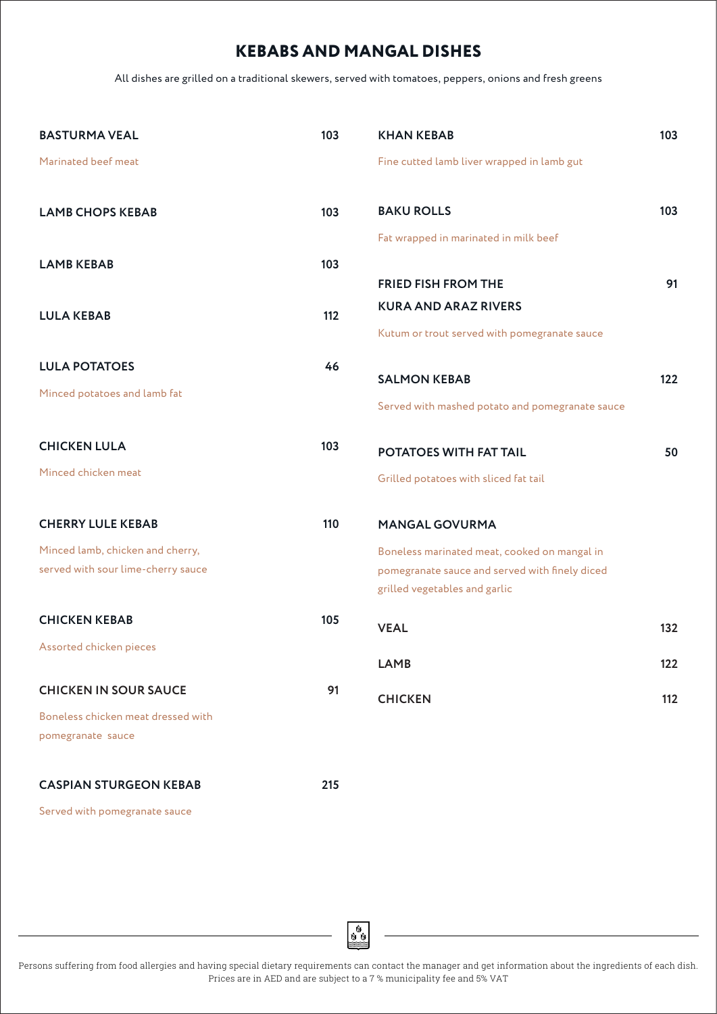# **KEBABS AND MANGAL DISHES**

All dishes are grilled on a traditional skewers, served with tomatoes, peppers, onions and fresh greens

| <b>BASTURMA VEAL</b>               | 103 | <b>KHAN KEBAB</b>                               | 103 |
|------------------------------------|-----|-------------------------------------------------|-----|
| Marinated beef meat                |     | Fine cutted lamb liver wrapped in lamb gut      |     |
|                                    |     |                                                 |     |
| <b>LAMB CHOPS KEBAB</b>            | 103 | <b>BAKU ROLLS</b>                               | 103 |
|                                    |     | Fat wrapped in marinated in milk beef           |     |
| <b>LAMB KEBAB</b>                  | 103 |                                                 |     |
|                                    |     | <b>FRIED FISH FROM THE</b>                      | 91  |
| <b>LULA KEBAB</b>                  | 112 | <b>KURA AND ARAZ RIVERS</b>                     |     |
|                                    |     | Kutum or trout served with pomegranate sauce    |     |
| <b>LULA POTATOES</b>               | 46  |                                                 |     |
| Minced potatoes and lamb fat       |     | <b>SALMON KEBAB</b>                             | 122 |
|                                    |     | Served with mashed potato and pomegranate sauce |     |
| <b>CHICKEN LULA</b>                | 103 | POTATOES WITH FAT TAIL                          | 50  |
| Minced chicken meat                |     | Grilled potatoes with sliced fat tail           |     |
| <b>CHERRY LULE KEBAB</b>           | 110 | <b>MANGAL GOVURMA</b>                           |     |
| Minced lamb, chicken and cherry,   |     | Boneless marinated meat, cooked on mangal in    |     |
| served with sour lime-cherry sauce |     | pomegranate sauce and served with finely diced  |     |
|                                    |     | grilled vegetables and garlic                   |     |
| <b>CHICKEN KEBAB</b>               | 105 | <b>VEAL</b>                                     | 132 |
| Assorted chicken pieces            |     |                                                 |     |
|                                    |     | <b>LAMB</b>                                     | 122 |
| <b>CHICKEN IN SOUR SAUCE</b>       | 91  | <b>CHICKEN</b>                                  | 112 |
| Boneless chicken meat dressed with |     |                                                 |     |
| pomegranate sauce                  |     |                                                 |     |
| <b>CASPIAN STURGEON KEBAB</b>      | 215 |                                                 |     |
|                                    |     |                                                 |     |

Served with pomegranate sauce

oo<br>S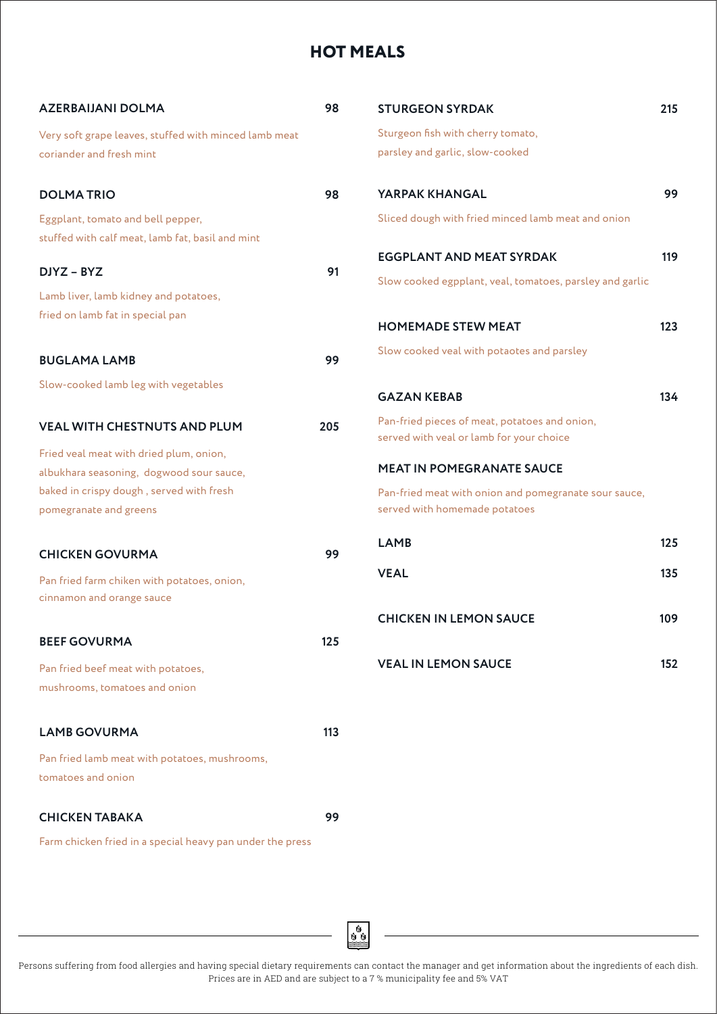# **HOT MEALS**

| <b>AZERBAIJANI DOLMA</b>                                                          | 98  | <b>STURGEON SYRDAK</b>                                                                    | 215 |
|-----------------------------------------------------------------------------------|-----|-------------------------------------------------------------------------------------------|-----|
| Very soft grape leaves, stuffed with minced lamb meat<br>coriander and fresh mint |     | Sturgeon fish with cherry tomato,<br>parsley and garlic, slow-cooked                      |     |
| <b>DOLMATRIO</b>                                                                  | 98  | YARPAK KHANGAL                                                                            | 99  |
| Eggplant, tomato and bell pepper,                                                 |     | Sliced dough with fried minced lamb meat and onion                                        |     |
| stuffed with calf meat, lamb fat, basil and mint                                  |     |                                                                                           |     |
| DJYZ - BYZ                                                                        | 91  | <b>EGGPLANT AND MEAT SYRDAK</b>                                                           | 119 |
| Lamb liver, lamb kidney and potatoes,                                             |     | Slow cooked egpplant, veal, tomatoes, parsley and garlic                                  |     |
| fried on lamb fat in special pan                                                  |     | <b>HOMEMADE STEW MEAT</b>                                                                 | 123 |
| <b>BUGLAMA LAMB</b>                                                               | 99  | Slow cooked veal with potaotes and parsley                                                |     |
| Slow-cooked lamb leg with vegetables                                              |     | <b>GAZAN KEBAB</b>                                                                        | 134 |
| <b>VEAL WITH CHESTNUTS AND PLUM</b>                                               | 205 | Pan-fried pieces of meat, potatoes and onion,<br>served with veal or lamb for your choice |     |
| Fried veal meat with dried plum, onion,                                           |     |                                                                                           |     |
| albukhara seasoning, dogwood sour sauce,                                          |     | <b>MEAT IN POMEGRANATE SAUCE</b>                                                          |     |
| baked in crispy dough, served with fresh<br>pomegranate and greens                |     | Pan-fried meat with onion and pomegranate sour sauce,<br>served with homemade potatoes    |     |
| <b>CHICKEN GOVURMA</b>                                                            | 99  | <b>LAMB</b>                                                                               | 125 |
| Pan fried farm chiken with potatoes, onion,<br>cinnamon and orange sauce          |     | <b>VEAL</b>                                                                               | 135 |
|                                                                                   |     | <b>CHICKEN IN LEMON SAUCE</b>                                                             | 109 |
| <b>BEEF GOVURMA</b>                                                               | 125 |                                                                                           |     |
| Pan fried beef meat with potatoes,                                                |     | <b>VEAL IN LEMON SAUCE</b>                                                                | 152 |
| mushrooms, tomatoes and onion                                                     |     |                                                                                           |     |
| <b>LAMB GOVURMA</b>                                                               | 113 |                                                                                           |     |
| Pan fried lamb meat with potatoes, mushrooms,                                     |     |                                                                                           |     |
| tomatoes and onion                                                                |     |                                                                                           |     |
| <b>CHICKEN TABAKA</b>                                                             | 99  |                                                                                           |     |
| Farm chicken fried in a special heavy pan under the press                         |     |                                                                                           |     |

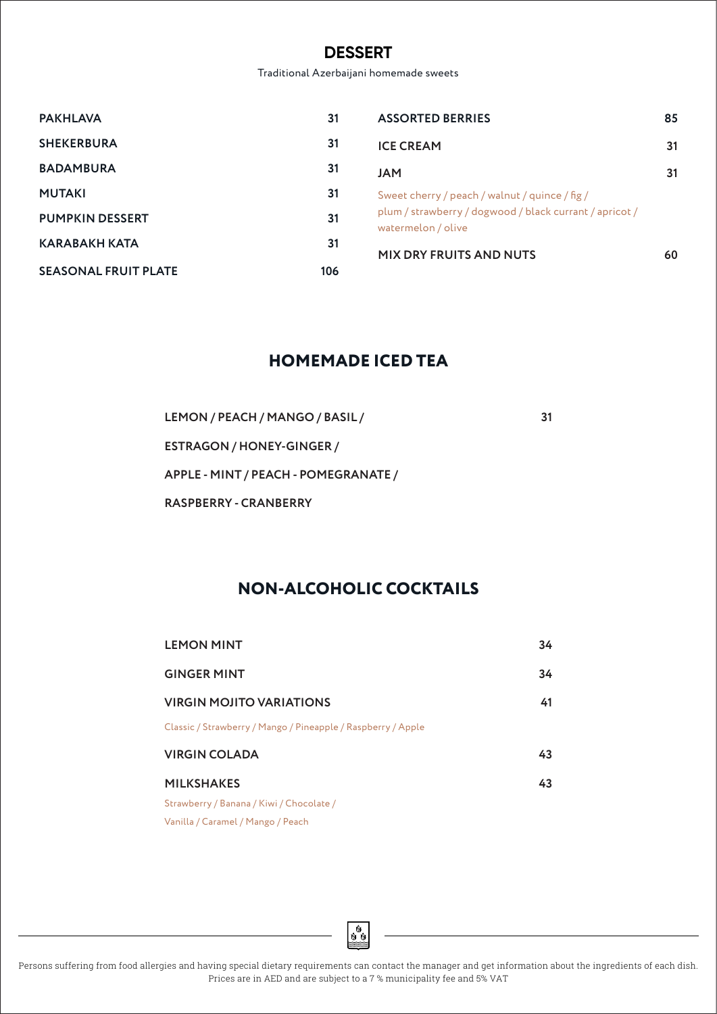### **DESSERT**

Traditional Azerbaijani homemade sweets

| <b>PAKHLAVA</b>             | 31  | <b>ASSORTED BERRIES</b>                                                       | 85 |
|-----------------------------|-----|-------------------------------------------------------------------------------|----|
| <b>SHEKERBURA</b>           | 31  | <b>ICE CREAM</b>                                                              | 31 |
| <b>BADAMBURA</b>            | 31  | <b>JAM</b>                                                                    | 31 |
| <b>MUTAKI</b>               | 31  | Sweet cherry / peach / walnut / quince / fig /                                |    |
| <b>PUMPKIN DESSERT</b>      | 31  | plum / strawberry / dogwood / black currant / apricot /<br>watermelon / olive |    |
| <b>KARABAKH KATA</b>        | 31  | <b>MIX DRY FRUITS AND NUTS</b>                                                | 60 |
| <b>SEASONAL FRUIT PLATE</b> | 106 |                                                                               |    |

## **HOMEMADE ICED TEA**

LEMON / PEACH / MANGO / BASIL / 31 **ESTRAGON / HONEY-GINGER / APPLE - MINT / PEACH - POMEGRANATE / RASPBERRY - CRANBERRY**

# **NON-ALCOHOLIC COCKTAILS**

| <b>LEMON MINT</b>                                            | 34 |
|--------------------------------------------------------------|----|
| <b>GINGER MINT</b>                                           | 34 |
| <b>VIRGIN MOJITO VARIATIONS</b>                              | 41 |
| Classic / Strawberry / Mango / Pineapple / Raspberry / Apple |    |
| <b>VIRGIN COLADA</b>                                         | 43 |
| <b>MILKSHAKES</b>                                            | 43 |
| Strawberry / Banana / Kiwi / Chocolate /                     |    |
| Vanilla / Caramel / Mango / Peach                            |    |

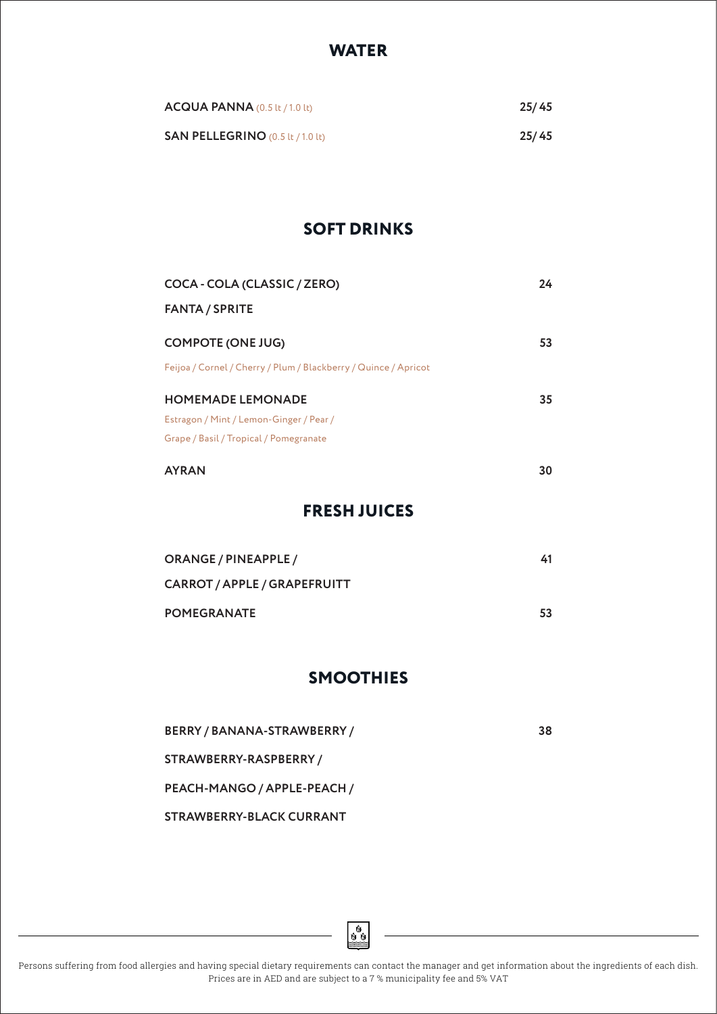### **WATER**

| $ACQUA$ PANNA (0.5 lt / 1.0 lt)         | 25/45 |
|-----------------------------------------|-------|
| <b>SAN PELLEGRINO</b> (0.5 lt / 1.0 lt) | 25/45 |

## **SOFT DRINKS**

| COCA - COLA (CLASSIC / ZERO)                                    | 24 |
|-----------------------------------------------------------------|----|
| <b>FANTA / SPRITE</b>                                           |    |
| <b>COMPOTE (ONE JUG)</b>                                        | 53 |
| Feijoa / Cornel / Cherry / Plum / Blackberry / Quince / Apricot |    |
| <b>HOMEMADE LEMONADE</b>                                        | 35 |
| Estragon / Mint / Lemon-Ginger / Pear /                         |    |
| Grape / Basil / Tropical / Pomegranate                          |    |
| <b>AYRAN</b>                                                    | 30 |

## **FRESH JUICES**

| <b>ORANGE / PINEAPPLE /</b>         | 41 |
|-------------------------------------|----|
| <b>CARROT / APPLE / GRAPEFRUITT</b> |    |
| <b>POMEGRANATE</b>                  | 53 |

### **SMOOTHIES**

**BERRY / BANANA-STRAWBERRY / 38 STRAWBERRY-RASPBERRY / PEACH-MANGO / APPLE-PEACH /** 

**STRAWBERRY-BLACK CURRANT**